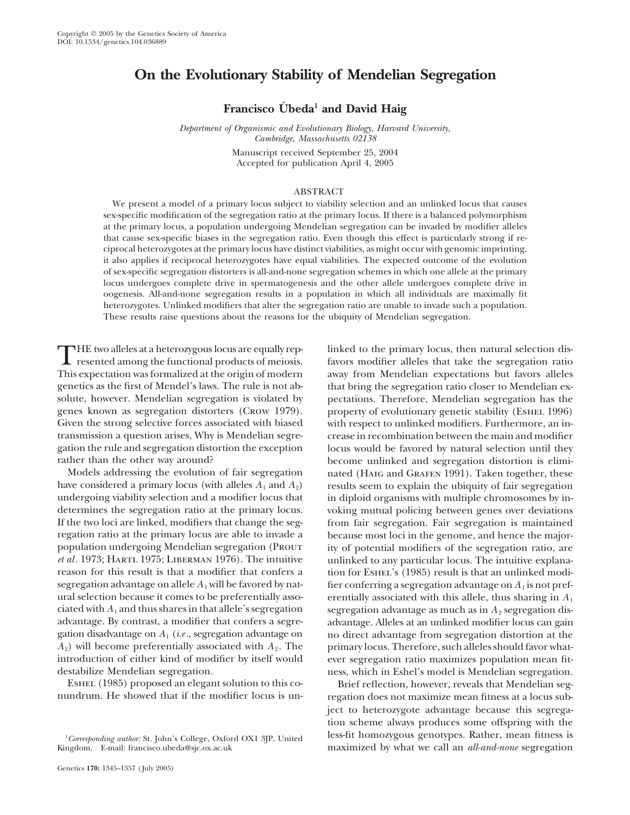# **On the Evolutionary Stability of Mendelian Segregation**

Francisco Ubeda<sup>1</sup> and David Haig

*Department of Organismic and Evolutionary Biology, Harvard University, Cambridge, Massachusetts 02138*

Manuscript received September 25, 2004 Accepted for publication April 4, 2005

# ABSTRACT

We present a model of a primary locus subject to viability selection and an unlinked locus that causes sex-specific modification of the segregation ratio at the primary locus. If there is a balanced polymorphism at the primary locus, a population undergoing Mendelian segregation can be invaded by modifier alleles that cause sex-specific biases in the segregation ratio. Even though this effect is particularly strong if reciprocal heterozygotes at the primary locus have distinct viabilities, as might occur with genomic imprinting, it also applies if reciprocal heterozygotes have equal viabilities. The expected outcome of the evolution of sex-specific segregation distorters is all-and-none segregation schemes in which one allele at the primary locus undergoes complete drive in spermatogenesis and the other allele undergoes complete drive in oogenesis. All-and-none segregation results in a population in which all individuals are maximally fit heterozygotes. Unlinked modifiers that alter the segregation ratio are unable to invade such a population. These results raise questions about the reasons for the ubiquity of Mendelian segregation.

THE two alleles at a heterozygous locus are equally rep-<br>
resented among the functional products of meiosis.<br>
This armostotion was famalized at the origin of medal products of meiosis.<br>
This armostotion has favored by the

ESHEL (1985) proposed an elegant solution to this co-<br>
Brief reflection, however, reveals that Mendelian seg-<br>
person does not maximize mean fitness at a locus sub-

destabilize Mendelian segregation.<br>
ESHEL (1985) proposed an elegant solution to this co-<br>
Brief reflection, however, reveals that Mendelian seg-

This expectation was formalized at the origin of modern away from Mendelian expectations but favors alleles genetics as the first of Mendel's laws. The rule is not ab- that bring the segregation ratio closer to Mendelian exsolute, however. Mendelian segregation is violated by pectations. Therefore, Mendelian segregation has the genes known as segregation distorters (Crow 1979). property of evolutionary genetic stability (Eshel 1996) Given the strong selective forces associated with biased with respect to unlinked modifiers. Furthermore, an intransmission a question arises, Why is Mendelian segre- crease in recombination between the main and modifier gation the rule and segregation distortion the exception locus would be favored by natural selection until they rather than the other way around? become unlinked and segregation distortion is elimi-Models addressing the evolution of fair segregation nated (HAIG and GRAFEN 1991). Taken together, these have considered a primary locus (with alleles  $A_1$  and  $A_2$ ) results seem to explain the ubiquity of fair segregati results seem to explain the ubiquity of fair segregation undergoing viability selection and a modifier locus that in diploid organisms with multiple chromosomes by indetermines the segregation ratio at the primary locus. voking mutual policing between genes over deviations If the two loci are linked, modifiers that change the seg-<br>from fair segregation. Fair segregation is maintained If the two loci are linked, modifiers that change the seg- from fair segregation. Fair segregation is maintained regation ratio at the primary locus are able to invade a because most loci in the genome, and hence the major-<br>population undergoing Mendelian segregation (PROUT it of potential modifiers of the segregation ratio, are population undergoing Mendelian segregation (PROUT ity of potential modifiers of the segregation ratio, are et al. 1973: HARTL 1975: LIBERMAN 1976). The intuitive unlinked to any particular locus. The intuitive explana*unlinked to any particular locus. The intuitive explana*reason for this result is that a modifier that confers a tion for ESHEL's (1985) result is that an unlinked modisegregation advantage on allele  $A_1$  will be favored by nat- fier conferring a segregation advantage on  $A_1$  is not prefural selection because it comes to be preferentially asso-<br>erentially associated with this allele, thus sharing in  $A_1$ ciated with  $A_1$  and thus shares in that allele's segregation segregation advantage as much as in  $A_2$  segregation dis-<br>advantage. By contrast, a modifier that confers a segre-<br>advantage. Alleles at an unlinked modifier advantage. Alleles at an unlinked modifier locus can gain gation disadvantage on *A*<sup>1</sup> (*i.e.*, segregation advantage on no direct advantage from segregation distortion at the  $A_2$ ) will become preferentially associated with  $A_2$ . The primary locus. Therefore, such alleles should favor whatintroduction of either kind of modifier by itself would ever segregation ratio maximizes population mean fit-

regation does not maximize mean fitness at a locus subject to heterozygote advantage because this segregation scheme always produces some offspring with the <sup>1</sup> Corresponding author: St. John's College, Oxford OX1 3JP, United less-fit homozygous genotypes. Rather, mean fitness is

Kingdom. E-mail: francisco.ubeda@sjc.ox.ac.uk maximized by what we call an *all-and-none* segregation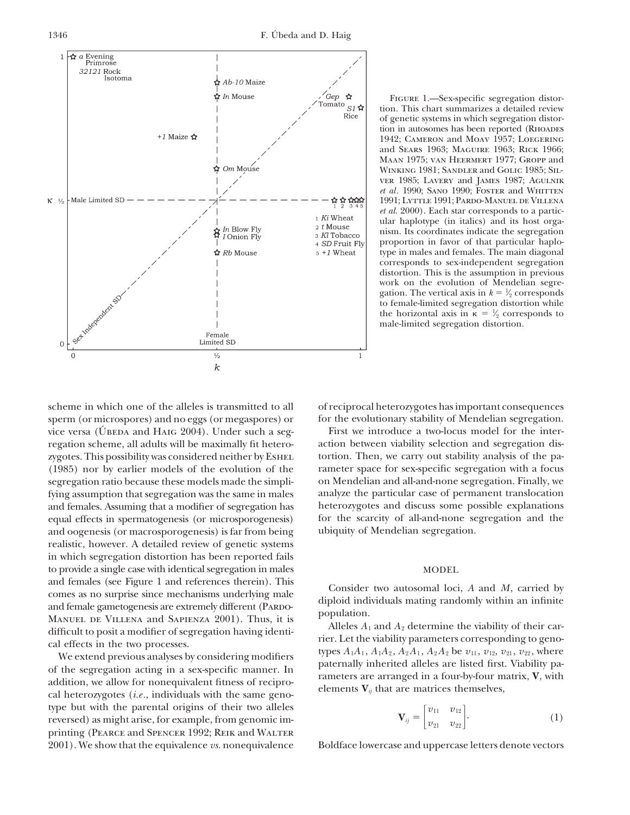

Figure 1.—Sex-specific segregation distortion. This chart summarizes a detailed review of genetic systems in which segregation distortion in autosomes has been reported (RHOADES 1942; Cameron and Moav 1957; Loegering and Sears 1963; Maguire 1963; Rick 1966; Maan 1975; van Heermert 1977; Gropp and Winking 1981; Sandler and Golic 1985; Silver 1985; Lavery and James 1987; Agulnik *et al.* 1990; SANO 1990; FOSTER and WHITTEN 1991; Lyttle 1991; Pardo-Manuel de Villena *et al.* 2000). Each star corresponds to a particular haplotype (in italics) and its host organism. Its coordinates indicate the segregation proportion in favor of that particular haplotype in males and females. The main diagonal corresponds to sex-independent segregation distortion. This is the assumption in previous work on the evolution of Mendelian segregation. The vertical axis in  $k = \frac{1}{2}$  corresponds ⁄ to female-limited segregation distortion while the horizontal axis in  $\kappa = \frac{1}{2}$  corresponds to ⁄ male-limited segregation distortion.

sperm (or microspores) and no eggs (or megaspores) or for the evolutionary stability of Mendelian segregation. vice versa (ÚBEDA and HAIG 2004). Under such a seg-<br>First we introduce a two-locus model for the interregation scheme, all adults will be maximally fit hetero- action between viability selection and segregation diszygotes. This possibility was considered neither by ESHEL tortion. Then, we carry out stability analysis of the pa-(1985) nor by earlier models of the evolution of the rameter space for sex-specific segregation with a focus segregation ratio because these models made the simpli- on Mendelian and all-and-none segregation. Finally, we fying assumption that segregation was the same in males analyze the particular case of permanent translocation and females. Assuming that a modifier of segregation has heterozygotes and discuss some possible explanations equal effects in spermatogenesis (or microsporogenesis) for the scarcity of all-and-none segregation and the equal effects in spermatogenesis (or microsporogenesis) and oogenesis (or macrosporogenesis) is far from being ubiquity of Mendelian segregation. realistic, however. A detailed review of genetic systems in which segregation distortion has been reported fails to provide a single case with identical segregation in males MODEL and females (see Figure 1 and references therein). This<br>consider two autosomal loci, A and M, carried by<br>and female gametogenesis are extremely different (PARDO-<br>MANUEL DE VILLENA and SAPIENZA 2001). Thus, it is<br>difficult

type but with the parental origins of their two alleles reversed) as might arise, for example, from genomic imprinting (PEARCE and SPENCER 1992; REIK and WALTER 2001). We show that the equivalence *vs.* nonequivalence Boldface lowercase and uppercase letters denote vectors

scheme in which one of the alleles is transmitted to all of reciprocal heterozygotes has important consequences

$$
\mathbf{V}_{ij} = \begin{bmatrix} v_{11} & v_{12} \\ v_{21} & v_{22} \end{bmatrix} . \tag{1}
$$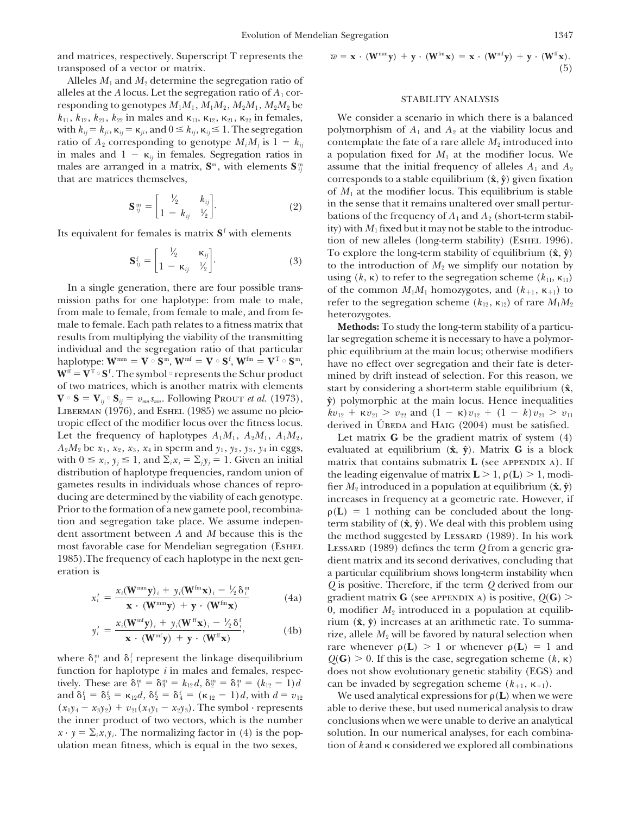and matrices, respectively. Superscript T represents the  $\bar{x}$ transposed of a vector or matrix.

Alleles  $M_1$  and  $M_2$  determine the segregation ratio of alleles at the *A* locus. Let the segregation ratio of  $A_1$  cor-<br>responding to genotypes  $M_1M_1$ ,  $M_1M_2$ ,  $M_2M_1$ ,  $M_2M_2$  be STABILITY ANALYSIS  $k_{11}$ ,  $k_{12}$ ,  $k_{21}$ ,  $k_{22}$  in males and  $\kappa_{11}$ ,  $\kappa_{12}$ ,  $\kappa_{21}$ ,  $\kappa$ with  $k_{ij} = k_{ji}$ ,  $\kappa_{ij} = \kappa_{ji}$ , and  $0 \le k_{ij}$ ,  $\kappa$ ratio of  $A_2$  corresponding to genotype  $M_iM_j$  is  $1 - k_{ij}$  contemplate the fate of a rare allele  $M_2$  introduced into in males and  $1 - \kappa_{ii}$  in females. Segregation ratios in males are arranged in a matrix,  $S<sup>m</sup>$ , with elements  $S<sup>m</sup>_{ii}$ 

$$
\mathbf{S}_{ij}^{\mathbf{m}} = \begin{bmatrix} \frac{1}{2} & k_{ij} \\ 1 - k_{ij} & \frac{1}{2} \end{bmatrix} . \tag{2}
$$

$$
\mathbf{S}_{ij}^{\mathrm{f}} = \begin{bmatrix} \frac{1}{2} & \kappa_{ij} \\ 1 - \kappa_{ij} & \frac{1}{2} \end{bmatrix} . \tag{3}
$$

mission paths for one haplotype: from male to male, from male to female, from female to male, and from fe-<br>male to female. Each path relates to a fitness matrix that **Methods:** To male to female. Each path relates to a fitness matrix that **Methods:** To study the long-term stability of a particu-<br>results from multiplying the viability of the transmitting lar segregation scheme it is necessary to have results from multiplying the viability of the transmitting lar segregation scheme it is necessary to have a polymor-<br>individual and the segregation ratio of that particular his equilibrium at the main locus; otherwise modi haplotype:  $W^{mm} = V \circ S^m$ ,  $W^{mf} = V \circ S^f$ ,  $W^{fm} = V^T \circ S^m$ ,  $\mathbf{W}^{\text{ff}} = \mathbf{V}^{\text{T}} \circ \mathbf{S}^{\text{f}}$  . The symbol  $\circ$  represents the Schur product  $W^u = V^{\alpha} \delta^u$ . The symbol  $\alpha$  represents the Schur product mined by drift instead of selection. For this reason, we of two matrices, which is another matrix with elements start by considering a short-term stable equili  $\mathbf{V} \circ \mathbf{S} = \mathbf{V}_{ij} \circ \mathbf{S}_{ij} = v_{mn} s_{mn}$ . Following Prout *et al.* (1973),  $\hat{\mathbf{y}}$  polymorphic at the main locus. Hence inequalities LIBERMAN (1976), and ESHEL (1985) we assume no pleio-<br>*tropic* effect of the modifier locus over the fitness locus. Let the frequency of haplotypes  $A_1M_1$ ,  $A_2M_1$ ,  $A_1M_2$ , Let matrix **G** be the gradient matrix of system (4)  $A_2M_2$  be  $x_1$ ,  $x_2$ ,  $x_3$ ,  $x_4$  in sperm and  $y_1$ ,  $y_2$ ,  $y_3$ ,  $y_4$  in eggs, evaluated at equili

$$
x'_{i} = \frac{x_{i}(\mathbf{W}^{\text{mm}}\mathbf{y})_{i} + y_{i}(\mathbf{W}^{\text{fm}}\mathbf{x})_{i} - \frac{1}{2}\delta_{i}^{\text{m}}}{\mathbf{x} \cdot (\mathbf{W}^{\text{mm}}\mathbf{y}) + \mathbf{y} \cdot (\mathbf{W}^{\text{fm}}\mathbf{x})}
$$
(4a)

$$
y'_{i} = \frac{x_{i}(\mathbf{W}^{\text{mf}}\mathbf{y})_{i} + y_{i}(\mathbf{W}^{\text{ff}}\mathbf{x})_{i} - \frac{1}{2}\delta_{i}^{\text{f}}}{\mathbf{x} \cdot (\mathbf{W}^{\text{mf}}\mathbf{y}) + \mathbf{y} \cdot (\mathbf{W}^{\text{ff}}\mathbf{x})},
$$
(4b)

where  $\delta_i^{\scriptscriptstyle \text{m}}$  and  $\delta_i^{\scriptscriptstyle \text{f}}$ tively. These are  $\delta_1^m = \delta_3^m = k_{12}d$ ,  $\delta_2^m = \delta_4^n$ and  $\delta_1^f = \delta_3^f = \kappa_{12}d$ ,  $\delta_2^f = \delta_4^f = (\kappa)$ ulation mean fitness, which is equal in the two sexes,

$$
\overline{w} = \mathbf{x} \cdot (\mathbf{W}^{\text{mm}} \mathbf{y}) + \mathbf{y} \cdot (\mathbf{W}^{\text{fm}} \mathbf{x}) = \mathbf{x} \cdot (\mathbf{W}^{\text{mf}} \mathbf{y}) + \mathbf{y} \cdot (\mathbf{W}^{\text{ff}} \mathbf{x}).
$$
\n(5)

We consider a scenario in which there is a balanced polymorphism of  $A_1$  and  $A_2$  at the viability locus and a population fixed for  $M_1$  at the modifier locus. We assume that the initial frequency of alleles  $A_1$  and  $A_2$ that are matrices themselves, corresponds to a stable equilibrium (**x**<sup>∂</sup>,  $\hat{y}$ ) given fixation of  $M_1$  at the modifier locus. This equilibrium is stable in the sense that it remains unaltered over small perturbations of the frequency of  $A_1$  and  $A_2$  (short-term stabil-Its equivalent for females is matrix  $S^f$  with elements tip) with  $M_1$  fixed but it may not be stable to the introduction of new alleles (long-term stability) (ESHEL 1996). To explore the long-term stability of equilibrium  $(\hat{\mathbf{x}}, \hat{\mathbf{y}})$ to the introduction of  $M_2$  we simplify our notation by using  $(k, \kappa)$  to refer to the segregation scheme  $(k_{11}, \kappa_{11})$ In a single generation, there are four possible trans- of the common  $M_1M_1$  homozygotes, and  $(k_{+1}, k_{+1})$  to refer to the segregation scheme  $(k_{12}, \kappa_{12})$  of rare  $M_1M_2$ 

> phic equilibrium at the main locus; otherwise modifiers have no effect over segregation and their fate is deterstart by considering a short-term stable equilibrium ( $\hat{\mathbf{x}}$ ,  $v_{21} > v_{22}$  and  $(1 - \kappa)v_{12} + (1 - k)v_{21} > v_{11}$ derived in U<sup>BEDA</sup> and HAIG (2004) must be satisfied.

*c* evaluated at equilibrium  $(\hat{\mathbf{x}}, \hat{\mathbf{y}})$ . Matrix **G** is a block with  $0 \le x_i$ ,  $y_j \le 1$ , and  $\sum_i x_i = \sum_j y_j = 1$ . Given an initial matrix that contains submatrix **L** (see APPENDIX A). If distribution of haplotype frequencies, random union of the leading eigenvalue of matrix  $\mathbf{L} > 1$ ,  $\rho(\mathbf{L}) > 1$ , modi-<br>gametes results in individuals whose chances of repro-<br>fier M<sub>a</sub> introduced in a population at equi gametes results in individuals whose chances of repro-<br>ducing are determined by the viability of each genotype.<br>increases in frequency at a geometric rate. However, if ducing are determined by the viability of each genotype. increases in frequency at a geometric rate. However, if<br>Prior to the formation of a new gamete pool, recombina-<br> $\rho(L) = 1$  nothing can be concluded about the long-Prior to the formation of a new gamete pool, recombina-<br>tion and segregation take place. We assume indepen-<br>term stability of  $(\hat{\mathbf{x}}, \hat{\mathbf{v}})$ . We deal with this problem using tion and segregation take place. We assume indepen-<br>dent assortment between A and M because this is the the method suggested by LESSARD (1989). In his work dent assortment between *A* and *M* because this is the the method suggested by LessARD (1989). In his work<br>most favorable case for Mendelian segregation (ESHEL LESSARD (1989) defines the term *O* from a generic gramost favorable case for Mendelian segregation (ESHEL LESSARD (1989) defines the term *Q* from a generic gra-<br>1985).The frequency of each haplotype in the next gen- dient matrix and its second derivatives, concluding that dient matrix and its second derivatives, concluding that eration is a particular equilibrium shows long-term instability when *Q* is positive. Therefore, if the term *Q* derived from our *x* $\alpha$   $\beta$   $\beta$   $\beta$   $\beta$   $\beta$   $\beta$   $\beta$   $\beta$   $\beta$   $\beta$   $\beta$   $\beta$   $\beta$   $\beta$   $\beta$   $\beta$   $\beta$   $\beta$   $\beta$   $\beta$   $\beta$   $\beta$   $\beta$   $\beta$   $\beta$   $\beta$   $\beta$   $\beta$   $\beta$   $\beta$   $\beta$   $\beta$   $\beta$   $\beta$   $\beta$   $\$ 0, modifier  $M_2$  introduced in a population at equilibrium  $(\hat{\mathbf{x}}, \hat{\mathbf{y}})$  increases at an arithmetic rate. To summarize, allele  $M_2$  will be favored by natural selection when rare whenever  $\rho(L) > 1$  or whenever  $\rho(L) = 1$  and  $Q(G) > 0$ . If this is the case, segregation scheme  $(k, \kappa)$ function for haplotype *i* in males and females, respec- does not show evolutionary genetic stability (EGS) and  $C_{4}^{m} = (k_{12} - 1)d$  can be invaded by segregation scheme  $(k_{+1}, \kappa_{+1}).$ 

We used analytical expressions for  $\rho(L)$  when we were  $(x_1y_4 - x_3y_2) + v_{21}(x_4y_1 - x_2y_3)$ . The symbol · represents able to derive these, but used numerical analysis to draw the inner product of two vectors, which is the number conclusions when we were unable to derive an analytical  $x \cdot y = \sum_i x_i y_i$ . The normalizing factor in (4) is the pop- solution. In our numerical analyses, for each combination of  $k$  and  $\kappa$  considered we explored all combinations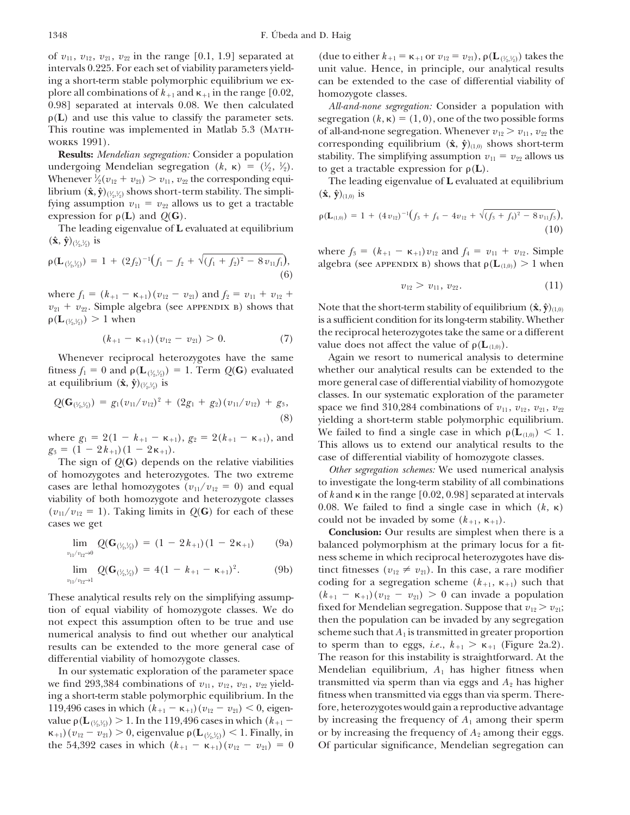of  $v_{11}$ ,  $v_{12}$ ,  $v_{21}$ ,  $v_{22}$  in the range [0.1, 1.9] separated at intervals 0.225. For each set of viability parameters yield- unit value. Hence, in principle, our analytical results ing a short-term stable polymorphic equilibrium we ex- can be extended to the case of differential viability of plore all combinations of  $k_{+1}$  and  $\kappa_{+1}$  in the range  $[0.02,$  homozygote classes. 0.98] separated at intervals 0.08. We then calculated *All-and-none segregation:* Consider a population with  $\rho(L)$  and use this value to classify the parameter sets. This routine was implemented in Matlab 5.3 (MATH- of all-and-none segregation. Whenever  $v_{12} > v_{11}$ ,  $v_{22}$  the works 1991).

undergoing Mendelian segregation  $(k, \kappa) = (\frac{1}{2}, \frac{1}{2})$ **∕ ∕** Whenever  $\frac{1}{2}(v_{12} + v_{21}) > v_{11}$ ,  $v_{22}$  the corresponding equi-⁄ librium  $(\hat{\mathbf{x}}, \hat{\mathbf{y}})_{(\frac{1}{2}, \frac{1}{2})}$  shows short-term stability. The simpli-  $(\hat{\mathbf{x}}, \hat{\mathbf{y}})_{(1,0)}$  is ⁄ ⁄ fying assumption  $v_{11} = v_{22}$  allows us to get a tractable *expression for*  $\rho(L)$  and  $Q(G)$ .

The leading eigenvalue of L evaluated at equilibrium  $({\bf \hat{x}}, {\bf \hat{y}})_{(\frac{1}{2}, \frac{1}{2})}$  is ⁄ ⁄

$$
\rho(\mathbf{L}_{(\frac{1}{2},\frac{1}{2})}) = 1 + (2f_2)^{-1}(f_1 - f_2 + \sqrt{(f_1 + f_2)^2 - 8v_{11}f_1}),
$$
\n(6)

where  $f_1 = (k_{+1} - \kappa_{+1})(v_{12} - v_{21})$  and  $f_2 = v_{11} + v_{12} + v_{22}$  $v_{21} + v_{22}$ . Simple algebra (see APPENDIX B) shows that Note that the short-term stability of equilibrium  $(\hat{\mathbf{x}}, \hat{\mathbf{y}})_{(1,0)}$  $\rho(\mathbf{L}_{\ (^{1\!\!}/_{\!2},^{1\!\!}}% ,\mathbf{L}_{\mathbf{L}_{\bf k},^{1\!\!}/_{\!2}}))$ ⁄ ⁄

$$
(k_{+1}-\kappa_{+1})(v_{12}-v_{21})>0.
$$
 (7)

⁄ ⁄ ⁄  $_{2}^{\prime },\frac{1}{2}^{\prime })$  is ⁄

$$
Q(\mathbf{G}_{(\frac{1}{2},\frac{1}{2})}) = g_1(v_{11}/v_{12})^2 + (2g_1 + g_2)(v_{11}/v_{12}) + g_3,
$$
\n(8)

 $g_3 = (1 - 2k_{+1})(1 - 2k_{+1}).$ <br>
The sign of  $Q(G)$  depends on the relative viabilities<br>
of homozygotes and heterozygotes. The two extreme<br>
cases are lethal homozygotes  $(v_{11}/v_{12} = 0)$  and equal<br>
viability of both homozygotes a  $(v_{11}/v_{12} = 1)$ . Taking limits in  $Q(G)$  for each of these could not be invaded by some  $(k_{+1}, k_{+1})$ .

$$
\lim_{v_{11}/v_{12}\to 0} Q(\mathbf{G}_{(\frac{1}{2},\frac{1}{2})}) = (1 - 2k_{+1})(1 - 2\kappa_{+1}) \qquad (9a)
$$

$$
\lim_{v_{11}/v_{12}\to 1} Q(\mathbf{G}_{(\frac{1}{2},\frac{1}{2})}) = 4(1 - k_{+1} - \kappa_{+1})^2. \tag{9b}
$$

These analytical results rely on the simplifying assumpfixed for Mendelian segregation. Suppose that  $v_{12} > v_{21}$ ;<br>not expect this assumption often to be true and use then the population can be invaded by any segregation not expect this assumption often to be true and use then the population can be invaded by any segregation<br>numerical analysis to find out whether our analytical scheme such that  $A_1$  is transmitted in greater proportion numerical analysis to find out whether our analytical results can be extended to the more general case of

119,496 cases in which  $(k_{+1} - \kappa_{+1})(v_{12} - v_{21})$  < value  $\rho(\mathbf{L}_{(\frac{1}{2}, \frac{1}{2})})$ ⁄ ⁄  $\kappa_{+1}$ )( $v_{12} - v_{21}$ ) > 0, eigenvalue  $\rho(L_{(\frac{1}{2},\frac{1}{2})})$  < 1. Finally, in or by increasing the frequency of  $A_2$  among their eggs. ⁄ ⁄ the 54,392 cases in which  $(k_{+1} - \kappa_{+1})(v_{12} - v_{21}) = 0$ 

 $v_{11}$  or  $v_{12} = v_{21}$ ), ρ(**L**<sub>(½</sub>,½<sub>)</sub>) takes the ⁄ ⁄

segregation  $(k, \kappa) = (1, 0)$ , one of the two possible forms EXTER 1991).<br> **Results:** *Mendelian segregation:* Consider a population stability. The simplifying assumption  $v_{11} = v_{22}$  allows us stability. The simplifying assumption  $v_{11} = v_{22}$  allows us to get a tractable expression for  $\rho(L)$ .

The leading eigenvalue of **L** evaluated at equilibrium

$$
\rho(\mathbf{L}_{(1,0)}) = 1 + (4 v_{12})^{-1} (f_3 + f_4 - 4 v_{12} + \sqrt{(f_3 + f_4)^2 - 8 v_{11} f_3}),
$$
\n(10)

where  $f_3 = (k_{+1} - \kappa_{+1})v_{12}$  and  $f_4 = v_{11} + v_{12}$ . Simple *f*  $f(x) = \frac{f(x)}{f(x)}$  is algebra (see APPENDIX B) shows that  $\rho(L_{(1,0)}) > 1$  when

$$
v_{12} > v_{11}, v_{22}. \t\t(11)
$$

is a sufficient condition for its long-term stability. Whether the reciprocal heterozygotes take the same or a different value does not affect the value of  $\rho(L_{(1,0)})$ .

Whenever reciprocal heterozygotes have the same Again we resort to numerical analysis to determine fitness  $f_1 = 0$  and  $\rho(\mathbf{L}_{(\frac{\nu_2}{2})}) = 1$ . Term  $Q(\mathbf{G})$  evaluated whether our analytical results can be extended to the more general case of differential viability of homozygote classes. In our systematic exploration of the parameter space we find 310,284 combinations of  $v_{11}$ ,  $v_{12}$ ,  $v_{21}$ ,  $v_{22}$ yielding a short-term stable polymorphic equilibrium. We failed to find a single case in which  $\rho(L_{(1,0)}) < 1$ . where  $g_1 = 2(1 - k_{+1} - \kappa_{+1})$ ,  $g_2 = 2(k_{+1} - \kappa_{+1})$ , and We failed to find a single case in which  $\rho(\mathbf{L}_{(1,0)}) < 1$ .<br>  $g_3 = (1 - 2k_{+1})(1 - 2\kappa_{+1})$ .

cases are lethal homozygotes  $(v_{11}/v_{12} = 0)$  and equal<br>viability of both homozygote and heterozygote classes of k and  $\kappa$  in the range [0.02, 0.98] separated at intervals<br> $(v_{12}/v_{12} = 1)$ . Taking limits in  $O(G)$  for ea

**Conclusion:** Our results are simplest when there is a balanced polymorphism at the primary locus for a fitness scheme in which reciprocal heterozygotes have distinct fitnesses ( $v_{12} \neq v_{21}$ ). In this case, a rare modifier coding for a segregation scheme  $(k_{+1}, \kappa_{+1})$  such that  $(k_{+1} - \kappa_{+1})(v_{12} - v_{21}) > 0$  can invade a population to sperm than to eggs, *i.e.*,  $k_{+1} > \kappa_{+1}$  (Figure 2a.2). differential viability of homozygote classes. The reason for this instability is straightforward. At the In our systematic exploration of the parameter space Mendelian equilibrium, *A*<sup>1</sup> has higher fitness when we find 293,384 combinations of  $v_{11}$ ,  $v_{12}$ ,  $v_{21}$ ,  $v_{22}$  yield-<br>transmitted via sperm than via eggs and  $A_2$  has higher ing a short-term stable polymorphic equilibrium. In the fitness when transmitted via eggs than via sperm. Therefore, heterozygotes would gain a reproductive advantage by increasing the frequency of  $A_1$  among their sperm or by increasing the frequency of  $A_2$  among their eggs. Of particular significance, Mendelian segregation can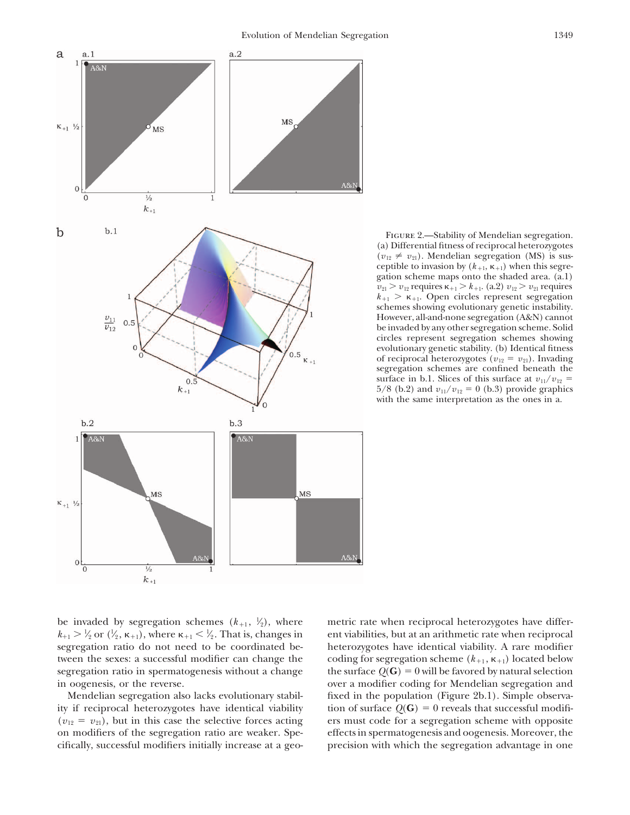

FIGURE 2.—Stability of Mendelian segregation. (a) Differential fitness of reciprocal heterozygotes  $(v_{12} \neq v_{21})$ . Mendelian segregation (MS) is susceptible to invasion by  $(k_{+1}, \kappa_{+1})$  when this segregation scheme maps onto the shaded area. (a.1)  $v_{21} > v_{12}$  requires  $\kappa_{+1} > k_{+1}$ . (a.2)  $v_{12} > v_{21}$  requires  $k_{+1} > \kappa_{+1}$ . Open circles represent segregation schemes showing evolutionary genetic instability. However, all-and-none segregation (A&N) cannot be invaded by any other segregation scheme. Solid circles represent segregation schemes showing evolutionary genetic stability. (b) Identical fitness of reciprocal heterozygotes ( $v_{12} = v_{21}$ ). Invading segregation schemes are confined beneath the surface in b.1. Slices of this surface at  $v_{11}/v_{12}$  = 5/8 (b.2) and  $v_{11}/v_{12} = 0$  (b.3) provide graphics with the same interpretation as the ones in a.

be invaded by segregation schemes  $(k_{+1}, k_2)$ , where **∕** ⁄  $\chi_2'$  or  $(\frac{1}{2}, \kappa_{+1})$ , where  $\kappa_{+1} < \frac{1}{2}$ . That is, changes in **∕ ∕** segregation ratio do not need to be coordinated be- heterozygotes have identical viability. A rare modifier tween the sexes: a successful modifier can change the segregation ratio in spermatogenesis without a change the surface  $Q(G) = 0$  will be favored by natural selection in oogenesis, or the reverse.  $\sim$  over a modifier coding for Mendelian segregation and

ity if reciprocal heterozygotes have identical viability tion of surface  $Q(G) = 0$  reveals that successful modifi- $(v_{12} = v_{21})$ , but in this case the selective forces acting ers must code for a segregation scheme with opposite on modifiers of the segregation ratio are weaker. Spe- effects in spermatogenesis and oogenesis. Moreover, the cifically, successful modifiers initially increase at a geo- precision with which the segregation advantage in one

metric rate when reciprocal heterozygotes have different viabilities, but at an arithmetic rate when reciprocal coding for segregation scheme  $(k_{+1}, \kappa_{+1})$  located below Mendelian segregation also lacks evolutionary stabil- fixed in the population (Figure 2b.1). Simple observa-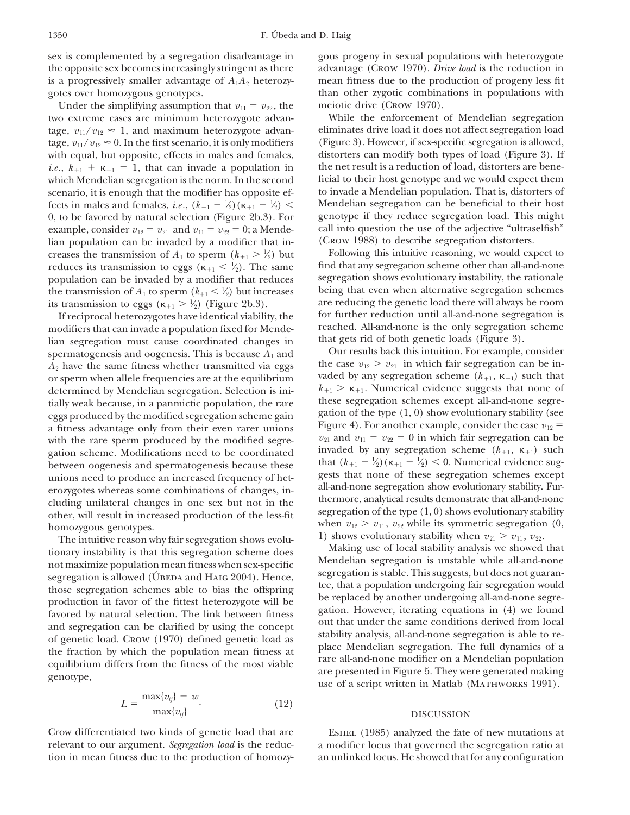Under the simplifying assumption that  $v_{11} = v_{22}$ , the meiotic drive (Crow 1970). two extreme cases are minimum heterozygote advan- While the enforcement of Mendelian segregation tage,  $v_{11}/v_{12} \approx 1$ , and maximum heterozygote advan-<br>tage,  $v_{11}/v_{12} \approx 0$ . In the first scenario, it is only modifiers (Figure 3). However, if sex-specific segregation is allowed, tage,  $v_{11}/v_{12} \approx 0$ . In the first scenario, it is only modifiers (Figure 3). However, if sex-specific segregation is allowed, with equal, but opposite, effects in males and females, distorters can modify both types of with equal, but opposite, effects in males and females, *i.e.*,  $k_{+1} + \kappa_{+1} = 1$ , that can invade a population in the net result is a reduction of load, distorters are benewhich Mendelian segregation is the norm. In the second ficial to their host genotype and we would expect them<br>scenario, it is enough that the modifier has opposite ef- to invade a Mendelian population. That is, distorters scenario, it is enough that the modifier has opposite ef-<br>fects in males and females, i.e.,  $(k_{+1} - \frac{1}{2})$  ( $\kappa_{+1} - \frac{1}{2}$ ) < Mendelian segregation can be beneficial to their host fects in males and females, *i.e.*,  $(k_{+1} - \frac{1}{2})(\kappa_{+1} - \frac{1}{2})$  < Mendelian segregation can be beneficial to their host **∕ ∕** 0, to be favored by natural selection (Figure 2b.3). For genotype if they reduce segregation load. This might example, consider  $v_{19} = v_{91}$  and  $v_{11} = v_{99} = 0$ ; a Mende-call into question the use of the adjective "ultr example, consider  $v_{12} = v_{21}$  and  $v_{11} = v_{22} = 0$ ; a Mende-call into question the use of the adjective "ultraselfian population can be invaded by a modifier that in-<br>(Crow 1988) to describe segregation distorters. lian population can be invaded by a modifier that in-<br>creases the transmission of  $A_1$  to sperm  $(k_{+1} > \frac{1}{2})$  but Following this intuitive reasoning, we would expect to creases the transmission of  $A_1$  to sperm  $(k_{+1} > \frac{1}{2})$  but Following this intuitive reasoning, we would expect to ⁄ reduces its transmission to eggs ( $\kappa_{+1} < \frac{1}{2}$ ). The same **∕** population can be invaded by a modifier that reduces segregation shows evolutionary instability, the rationale<br>the transmission of  $A_1$  to sperm  $(k_{+1} \leq \frac{1}{2})$  but increases being that even when alternative segregatio the transmission of  $A_1$  to sperm  $(k_{+1} < \frac{1}{2})$  but increases being that even when alternative segregation schemes **∕** its transmission to eggs ( $\kappa_{+1} > \frac{1}{2}$ **∕** 

modifiers that can invade a population fixed for Mende-<br>lian segregation must cause coordinated changes in that gets rid of both genetic loads (Figure 3). lian segregation must cause coordinated changes in that gets rid of both genetic loads (Figure 3).<br>spermatogenesis and oogenesis. This is because  $A_1$  and Our results back this intuition. For example, consider spermatogenesis and oogenesis. This is because  $A_1$  and<br>  $A_2$  have the same fitness whether transmitted via eggs the case  $v_{12} > v_{21}$  in which fair segregation can be in- $A_2$  have the same fitness whether transmitted via eggs the case  $v_{12} > v_{21}$  in which fair segregation can be in-<br>or sperm when allele frequencies are at the equilibrium vaded by any segregation scheme  $(k_{+1}, k_{+1})$  suc determined by Mendelian segregation. Selection is ini-<br> $k_{+1} > \kappa_{+1}$ . Numerical evidence suggests that none of<br>tially weak because in a panmictic population, the rare these segregation schemes except all-and-none segretially weak because, in a panmictic population, the rare these segregation schemes except all-and-none segre-<br>eggs produced by the modified segregation scheme gain gation of the type  $(1, 0)$  show evolutionary stability ( a fitness advantage only from their even rarer unions Figure 4). For another example, consider the case  $v_{12}$  = with the rare sperm produced by the modified segre-<br> $v_{21}$  and  $v_{11} = v_{22} = 0$  in which fair segregation with the rare sperm produced by the modified segregation scheme. Modifications need to be coordinated invaded by any segregation scheme  $(k_{+1}, k_{+1})$  such<br>between oogenesis and spermatogenesis because these that  $(k_{+1} - k_2)(k_{+1} - k_2) < 0$ . Numerical evidence sug-

between oogenesis and spermatogenesis because these<br>
uhat  $(k_{+1} - k_2) (\kappa_{+1} - k_3) \le 0$ . Numerical evidence sug-<br>
unions need to produce an increased frequency of het-<br>
erozygotes whereas some combinations of changes, in<br>

$$
L = \frac{\max\{v_{ij}\} - \overline{w}}{\max\{v_{ij}\}}.
$$
 (12)

sex is complemented by a segregation disadvantage in gous progeny in sexual populations with heterozygote the opposite sex becomes increasingly stringent as there advantage (Crow 1970). *Drive load* is the reduction in is a progressively smaller advantage of  $A_1A_2$  heterozy- mean fitness due to the production of progeny less fit gotes over homozygous genotypes. The state of than other zygotic combinations in populations with

find that any segregation scheme other than all-and-none segregation shows evolutionary instability, the rationale are reducing the genetic load there will always be room<br>for further reduction until all-and-none segregation is If reciprocal heterozygotes have identical viability, the for further reduction until all-and-none segregation is<br>
odifiers that can invade a population fixed for Mende-free reached. All-and-none is the only segregation sc

> $k_{+1} > \kappa_{+1}$ . Numerical evidence suggests that none of invaded by any segregation scheme  $(k_{+1}, \kappa_{+1})$  such **∕ ∕**

### DISCUSSION

Crow differentiated two kinds of genetic load that are ESHEL (1985) analyzed the fate of new mutations at relevant to our argument. *Segregation load* is the reduc- a modifier locus that governed the segregation ratio at tion in mean fitness due to the production of homozy- an unlinked locus. He showed that for any configuration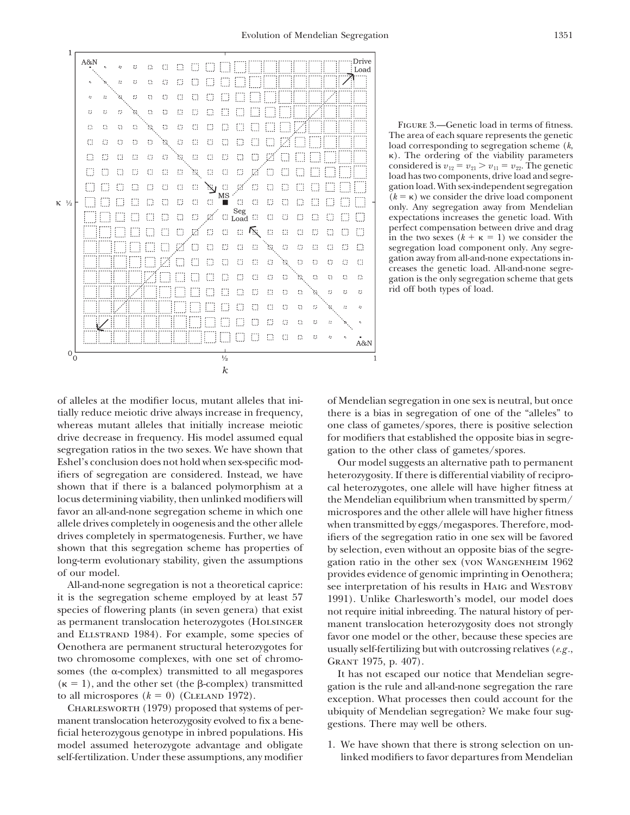

Figure 3.—Genetic load in terms of fitness. The area of each square represents the genetic load corresponding to segregation scheme (*k*, -). The ordering of the viability parameters considered is  $v_{12} = v_{21} > v_{11} = v_{22}$ . The genetic load has two components, drive load and segregation load. With sex-independent segregation  $(k = \kappa)$  we consider the drive load component only. Any segregation away from Mendelian expectations increases the genetic load. With perfect compensation between drive and drag in the two sexes  $(k + \kappa = 1)$  we consider the segregation load component only. Any segregation away from all-and-none expectations increases the genetic load. All-and-none segregation is the only segregation scheme that gets rid off both types of load.

tially reduce meiotic drive always increase in frequency, there is a bias in segregation of one of the "alleles" to whereas mutant alleles that initially increase meiotic one class of gametes/spores, there is positive selection drive decrease in frequency. His model assumed equal for modifiers that established the opposite bias in segresegregation ratios in the two sexes. We have shown that gation to the other class of gametes/spores. Eshel's conclusion does not hold when sex-specific mod- Our model suggests an alternative path to permanent ifiers of segregation are considered. Instead, we have heterozygosity. If there is differential viability of reciproshown that if there is a balanced polymorphism at a cal heterozygotes, one allele will have higher fitness at locus determining viability, then unlinked modifiers will the Mendelian equilibrium when transmitted by sperm/ favor an all-and-none segregation scheme in which one microspores and the other allele will have higher fitness allele drives completely in oogenesis and the other allele when transmitted by eggs/megaspores. Therefore, moddrives completely in spermatogenesis. Further, we have ifiers of the segregation ratio in one sex will be favored shown that this segregation scheme has properties of by selection, even without an opposite bias of the segrelong-term evolutionary stability, given the assumptions gation ratio in the other sex (von WANGENHEIM 1962)

it is the segregation scheme employed by at least 57 1991). Unlike Charlesworth's model, our model does species of flowering plants (in seven genera) that exist not require initial inbreeding. The natural history of peras permanent translocation heterozygotes (HOLSINGER manent translocation heterozygosity does not strongly and ELLSTRAND 1984). For example, some species of favor one model or the other, because these species are and ELLSTRAND 1984). For example, some species of favor one model or the other, because these species are<br>Oenothera are permanent structural heterozygotes for usually self-fertilizing but with outcrossing relatives (e g Cenothera are permanent structural neterozygotes for<br>two chromosome complexes, with one set of chromo-<br>somes (the α-complex) transmitted to all megaspores<br>( $\kappa$  = 1), and the other set (the β-complex) transmitted<br>that M

model assumed heterozygote advantage and obligate 1. We have shown that there is strong selection on unself-fertilization. Under these assumptions, any modifier linked modifiers to favor departures from Mendelian

of alleles at the modifier locus, mutant alleles that ini- of Mendelian segregation in one sex is neutral, but once

of our model. provides evidence of genomic imprinting in Oenothera; All-and-none segregation is not a theoretical caprice: see interpretation of his results in Haig and Westoby

( $\kappa = 1$ ), and the other set (the  $\beta$ -complex) transmitted<br>to all microspores ( $k = 0$ ) (CLELAND 1972).<br>CHARLESWORTH (1979) proposed that systems of per-<br>manent translocation heterozygosity evolved to fix a bene-<br>ficial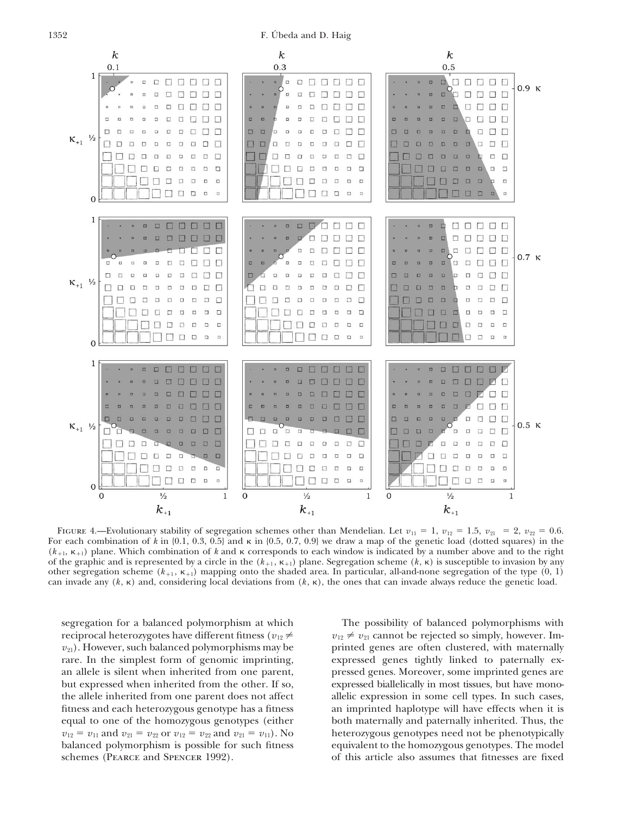1352 F. Úbeda and D. Haig



FIGURE 4.—Evolutionary stability of segregation schemes other than Mendelian. Let  $v_{11} = 1$ ,  $v_{12} = 1.5$ ,  $v_{21} = 2$ ,  $v_{22} = 0.6$ . For each combination of  $k$  in  $\{0.1, 0.3, 0.5\}$  and  $\kappa$  in  $\{0.5, 0.7, 0.9\}$  we draw a map of the genetic load (dotted squares) in the  $(k_{+1}, k_{+1})$  plane. Which combination of k and  $\kappa$  corresponds to each window is indicated by a number above and to the right of the graphic and is represented by a circle in the  $(k_{+1}, \kappa_{+1})$  plane. Segregation scheme  $(k, \kappa)$  is susceptible to invasion by any other segregation scheme  $(k_{+1}, k_{+1})$  mapping onto the shaded area. In particular, all-and-none segregation of the type  $(0, 1)$ can invade any  $(k, \kappa)$  and, considering local deviations from  $(k, \kappa)$ , the ones that can invade always reduce the genetic load.

segregation for a balanced polymorphism at which The possibility of balanced polymorphisms with reciprocal heterozygotes have different fitness ( $v_{12} \neq v_{21}$  cannot be rejected so simply, however. Im $v_{21}$ ). However, such balanced polymorphisms may be printed genes are often clustered, with maternally rare. In the simplest form of genomic imprinting, expressed genes tightly linked to paternally exan allele is silent when inherited from one parent, pressed genes. Moreover, some imprinted genes are but expressed when inherited from the other. If so, expressed biallelically in most tissues, but have monothe allele inherited from one parent does not affect allelic expression in some cell types. In such cases, fitness and each heterozygous genotype has a fitness an imprinted haplotype will have effects when it is equal to one of the homozygous genotypes (either both maternally and paternally inherited. Thus, the  $v_{12} = v_{11}$  and  $v_{21} = v_{22}$  or  $v_{12} = v_{22}$  and  $v_{21} = v_{11}$ ). No heterozygous genotypes need not be phenotypically balanced polymorphism is possible for such fitness equivalent to the homozygous genotypes. The model schemes (PEARCE and SPENCER 1992). of this article also assumes that fitnesses are fixed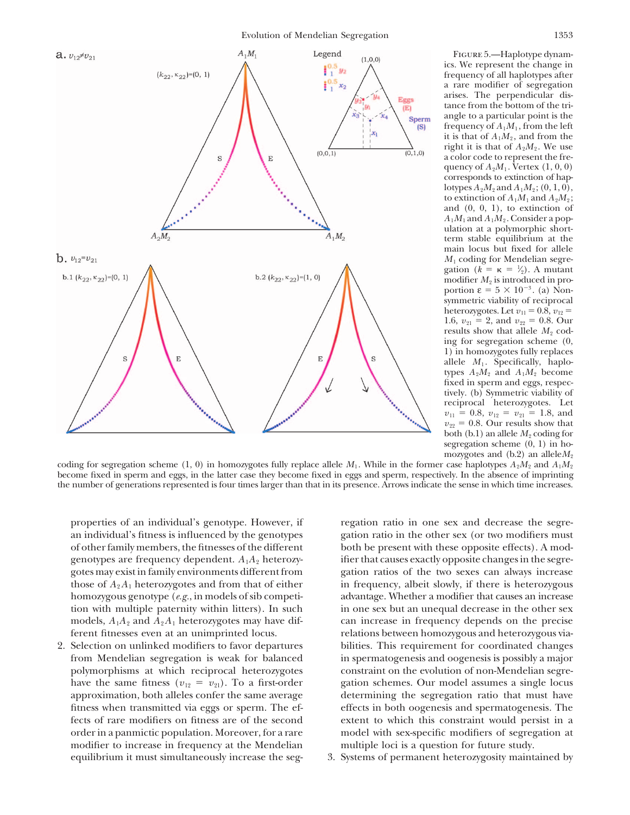Evolution of Mendelian Segregation 1353



Figure 5.—Haplotype dynamics. We represent the change in frequency of all haplotypes after a rare modifier of segregation arises. The perpendicular distance from the bottom of the triangle to a particular point is the frequency of  $A_1M_1$ , from the left it is that of  $A_1M_2$ , and from the right it is that of  $A_2M_2$ . We use a color code to represent the frequency of  $A_2M_1$ . Vertex  $(1, 0, 0)$ corresponds to extinction of haplotypes  $A_2M_2$  and  $A_1M_2$ ; (0, 1, 0), to extinction of  $A_1M_1$  and  $A_2M_2$ ; and  $(0, 0, 1)$ , to extinction of  $A_1M_1$  and  $A_1M_2$ . Consider a population at a polymorphic shortterm stable equilibrium at the main locus but fixed for allele *M*<sup>1</sup> coding for Mendelian segregation  $(k = \kappa = \frac{1}{2})$ . A mutant ⁄ modifier  $M_2$  is introduced in proportion  $\varepsilon = 5 \times 10^{-3}$ . (a) Nonsymmetric viability of reciprocal heterozygotes. Let  $v_{11} = 0.8$ ,  $v_{12} =$ 1.6,  $v_{21} = 2$ , and  $v_{22} = 0.8$ . Our results show that allele  $M_2$  coding for segregation scheme (0, 1) in homozygotes fully replaces allele  $M_1$ . Specifically, haplotypes  $A_2M_2$  and  $A_1M_2$  become fixed in sperm and eggs, respectively. (b) Symmetric viability of reciprocal heterozygotes. Let  $v_{11} = 0.8, v_{12} = v_{21} = 1.8,$  and  $v_{22} = 0.8$ . Our results show that both (b.1) an allele  $M_2$  coding for segregation scheme (0, 1) in homozygotes and  $(b.2)$  an allele $M_2$ 

coding for segregation scheme (1, 0) in homozygotes fully replace allele  $M_1$ . While in the former case haplotypes  $A_2M_2$  and  $A_1M_2$ become fixed in sperm and eggs, in the latter case they become fixed in eggs and sperm, respectively. In the absence of imprinting the number of generations represented is four times larger than that in its presence. Arrows indicate the sense in which time increases.

properties of an individual's genotype. However, if regation ratio in one sex and decrease the segrean individual's fitness is influenced by the genotypes gation ratio in the other sex (or two modifiers must of other family members, the fitnesses of the different both be present with these opposite effects). A modgenotypes are frequency dependent.  $A_1A_2$  heterozy- ifier that causes exactly opposite changes in the segregotes may exist in family environments different from gation ratios of the two sexes can always increase those of  $A_2A_1$  heterozygotes and from that of either in frequency, albeit slowly, if there is heterozygous homozygous genotype (*e.g.*, in models of sib competi- advantage. Whether a modifier that causes an increase tion with multiple paternity within litters). In such in one sex but an unequal decrease in the other sex models,  $A_1A_2$  and  $A_2A_1$  heterozygotes may have dif- can increase in frequency depends on the precise ferent fitnesses even at an unimprinted locus. relations between homozygous and heterozygous via-

from Mendelian segregation is weak for balanced in spermatogenesis and oogenesis is possibly a major polymorphisms at which reciprocal heterozygotes constraint on the evolution of non-Mendelian segrehave the same fitness ( $v_{12} = v_{21}$ ). To a first-order gation schemes. Our model assumes a single locus approximation, both alleles confer the same average determining the segregation ratio that must have fitness when transmitted via eggs or sperm. The ef- effects in both oogenesis and spermatogenesis. The fects of rare modifiers on fitness are of the second extent to which this constraint would persist in a order in a panmictic population. Moreover, for a rare model with sex-specific modifiers of segregation at modifier to increase in frequency at the Mendelian multiple loci is a question for future study. equilibrium it must simultaneously increase the seg-<br>3. Systems of permanent heterozygosity maintained by

2. Selection on unlinked modifiers to favor departures bilities. This requirement for coordinated changes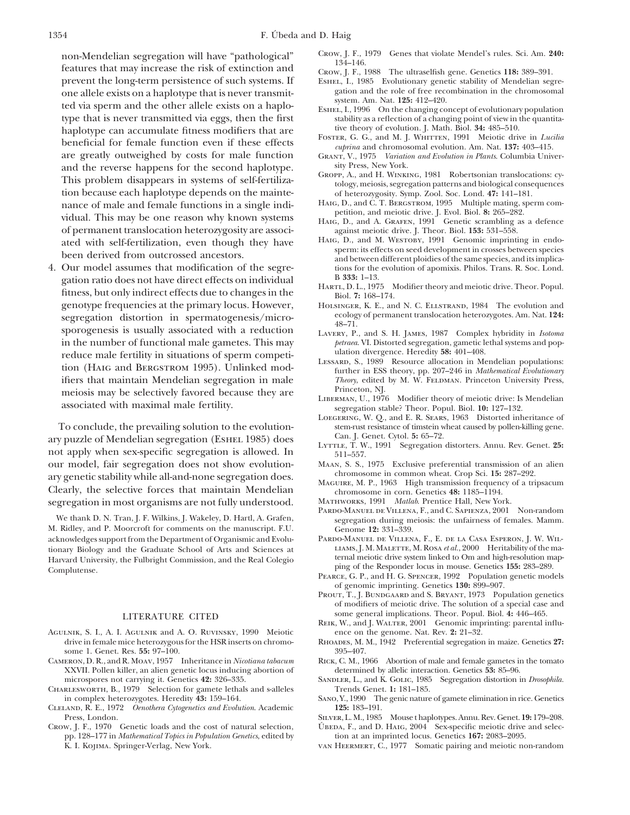non-Mendelian segregation will have "pathological" CROW, J. F., 1979 Genes that violate Mendel's rules. Sci. Am. 240:<br>
features that may increase the risk of extinction and prevent the long-term persistence of such systems one allele exists on a haplotype that is never transmited with the role of free recombination in the chromosomal<br>ted via sperm and the other allele exists on a haplo-<br>type that is never transmitted via eggs, then the first haplotype can accumulate fitness modifiers that are tive theory of evolution. J. Math. Biol. **34:** 485–510.<br>
FOSTER, G. G., and M. J. WHITTEN, 1991 Meiotic drive in *Lucilia* FOSTER, G. G., and M. J. WHITEN, 1991 MEDUTE MEDUTE of the priority of the cuprina and chromosomal evolution. Am. Nat. **137:** 403–415.<br>are greatly outweighed by costs for male function  $G_{\text{RANT}}V$ , 1975 Variation and Evolu and the reverse happens for the second haplotype.<br>
This problem disappears in systems of self-fertiliza-<br>
tology, meiosis, segregation patterns and biological consequences<br>
tology, meiosis, segregation patterns and biologi tion because each haplotype depends on the mainte-<br>nance of male and female functions in a single indi-<br>Hate, D., and C. T. BERGSTROM, 1995 Multiple mating, sperm comnance of male and female functions in a single indi-<br>haig, D., and C. T. BERGSTROM, 1995 Multiple mating, spectrum, and meiotic drive. J. Evol. Biol. 8: 265–282. vidual. This may be one reason why known systems of permanent translocation heterozygosity are associ-<br>of permanent translocation heterozygosity are associ-<br>against meiotic drive. J. Theor. Biol. 153: 531–558. of permanent translocation heterozygosity are associ- against meiotic drive. J. Theor. Biol. **153:** 531–558.

gation ratio does not have direct effects on individual  $\begin{array}{r} \text{B 333: 1--13.} \\ \text{fitness, but only indirect effects due to changes in the \\ \text{genotype frequencies at the primary locus. However,} \\ \end{array}$  HARTL, D. L., 1975 Modifier theory and meiotic drive. Theor. Popul. genotype frequencies at the primary locus. However, HOLSINGER, K. E., and N. C. ELLSTRAND, 1984 The evolution and ecology of permanent translocation heterozygotes. Am. Nat. 124: segregation distortion in spermatogenesis/microsoftheorypoology of permanent translocation heterozygotes. Am. Nat. 124:<br>sporogenesis is usually associated with a reduction<br>in the number of functional male gametes. This may in the number of functional male gametes. This may *petraea*. VI. Distorted segregation, gametic lethal systems and population systems and population divergence. Heredity 58: 401–408. reduce male fertility in situations of sperm competi-<br>tion (HAIG and BERGSTROM 1995). Unlinked mod-<br>ifiers that maintain Mendelian segregation in male<br>ifiers that maintain Mendelian segregation in male<br> $Theory,$  edited by M. W ifiers that maintain Mendelian segregation in male *Theory*, edited meiosis may be selectively favored because they are Princeton, NJ. meiosis may be selectively favored because they are<br>LIBERMAN, U., 1976 Modifier theory of meiotic drive: Is Mendelian associated with maximal male fertility.<br>segregation stable? Theor. Popul. Biol. **10:** 127–132.

To conclude, the prevailing solution to the evolution-<br>
v puzzle of Mendelian segregation (FSHEI 1985) does Can. J. Genet. Cytol. 5: 65–72. ary puzzle of Mendelian segregation (ESHEL 1985) does<br>not apply when sex-specific segregation is allowed. In<br>our model, fair segregation does not show evolution-<br>MAAN, S. S., 1975 Exclusive preferential transmission of an our model, fair segregation does not show evolution-<br>
MAAN, S. S., 1975 Exclusive preferential transmission of a<br>
chromosome in common wheat. Crop Sci. 15: 287-292. ary genetic stability while all-and-none segregation does.<br>Clearly, the selective forces that maintain Mendelian Mendelian chromosome in corn. Genetics 48: 1185-1194. segregation in most organisms are not fully understood. MATHWORKS, 1991 *Matlab*. Prentice Hall, New York.

M. Ridley, and P. Moorcroft for comments on the manuscript. F.U. Genome 12: 331–339.<br>acknowledges support from the Department of Organismic and Evolu-PARDO-MANUEL DE VILLENA, F., E. DE LA CASA ESPERON, J. W. WILacknowledges support from the Department of Organismic and Evolu-<br>
PARDO-MANUEL DE VILLENA, F., E. DE LA CASA ESPERON, J. W. WIL-<br>
LIAMS, J. M. MALETTE, M. ROSA et al., 2000 Heritability of the mationary Biology and the Graduate School of Arts and Sciences at LIAMS, J. M. MALETTE, M. ROSA *et al.*, 2000 Heritability of the ma-<br>Harvard University the Fulbright Commission and the Real Colegio ternal meiotic drive sys Harvard University, the Fulbright Commission, and the Real Colegio ternal meiotic drive system linked to Om and high-resolution map-<br>
Formulation of the Responder locus in mouse. Genetics 155: 283–289. ping of the Responder locus in mouse. Genetics **155:** 283–289. Complutense. Pearce, G. P., and H. G. Spencer, 1992 Population genetic models

- AGULNIK, S. I., A. I. AGULNIK and A. O. RUVINSKY, 1990 Meiotic drive in female mice heterozygous for the HSR inserts on chromo- Rhoades, M. M., 1942 Preferential segregation in maize. Genetics **27:**
- CAMERON, D. R., and R. MOAV, 1957 Inheritance in *Nicotiana tabacum* RICK, C. M., 1966 Abortion of male and female gametes in XXVII. Pollen killer, an alien genetic locus inducing abortion of determined by allelic interact XXVII. Pollen killer, an alien genetic locus inducing abortion of microspores not carrying it. Genetics 42: 326–335.
- Charlesworth, B., 1979 Selection for gamete lethals and s-alleles Trends Genet. **1:** 181–185.
- Cleland, R. E., 1972 *Oenothera Cytogenetics and Evolution*. Academic **125:** 183–191.
- CROW, J. F., 1970 Genetic loads and the cost of natural selection, UBEDA, F., and D. HAIG, 2004 Sex-specific meiotic drive and selec-<br>pp. 128–177 in *Mathematical Topics in Population Genetics*, edited by tion at an imprin pp. 128–177 in *Mathematical Topics in Population Genetics*, edited by K. I. Kojima. Springer-Verlag, New York. van Heermert, C., 1977 Somatic pairing and meiotic non-random
- 
- 
- ESHEL, I., 1985 Evolutionary genetic stability of Mendelian segregation and the role of free recombination in the chromosomal
- stability as a reflection of a changing point of view in the quantita-<br>tive theory of evolution. J. Math. Biol. 34: 485-510.
- 
- GRANT, V., 1975 *Variation and Evolution in Plants*. Columbia University Press, New York.
- 
- 
- 
- ated with self-fertilization, even though they have HAIG, D., and M. WESTOBY, 1991 Genomic imprinting in endo-<br>been derived from outcrossed ancestors.<br>4. Our model assumes that modification of the segre-<br>4. Our model assum tions for the evolution of apomixis. Philos. Trans. R. Soc. Lond. B  $333: 1-13$ .
	-
	-
	-
	-
	-
	- LOEGERING, W. Q., and E. R. SEARS, 1963 Distorted inheritance of stem-rust resistance of timstein wheat caused by pollen-killing gene.
	-
	-
	-
	-
	- PARDO-MANUEL DE VILLENA, F., and C. SAPIENZA, 2001 Non-random We thank D. N. Tran, J. F. Wilkins, J. Wakeley, D. Hartl, A. Grafen, segregation during meiosis: the unfairness of females. Mamm.<br>Alidley, and P. Moorcroft for comments on the manuscript. F.U. Genome 12: 331-339.
		-
		- of genomic imprinting. Genetics **130:** 899–907.
		- PROUT, T., J. BUNDGAARD and S. BRYANT, 1973 Population genetics of modifiers of meiotic drive. The solution of a special case and some general implications. Theor. Popul. Biol. **4:** 446–465. LITERATURE CITED
			- REIK, W., and J. WALTER, 2001 Genomic imprinting: parental influence on the genome. Nat. Rev. 2: 21–32.
			-
		- some 1. Genet. Res. 55: 97–100.<br>
		ERON, D. R., and R. Moav, 1957 Inheritance in *Nicotiana tabacum* RICK, C. M., 1966 Abortion of male and female gametes in the tomato
			- SANDLER, L., and K. GOLIC, 1985 Segregation distortion in *Drosophila*.
		- in complex heterozygotes. Heredity **43:** 159–164. Sano, Y., 1990 The genic nature of gamete elimination in rice. Genetics
			- SILVER, L. M., 1985 Mouse t haplotypes. Annu. Rev. Genet. 19: 179–208.
			-
			-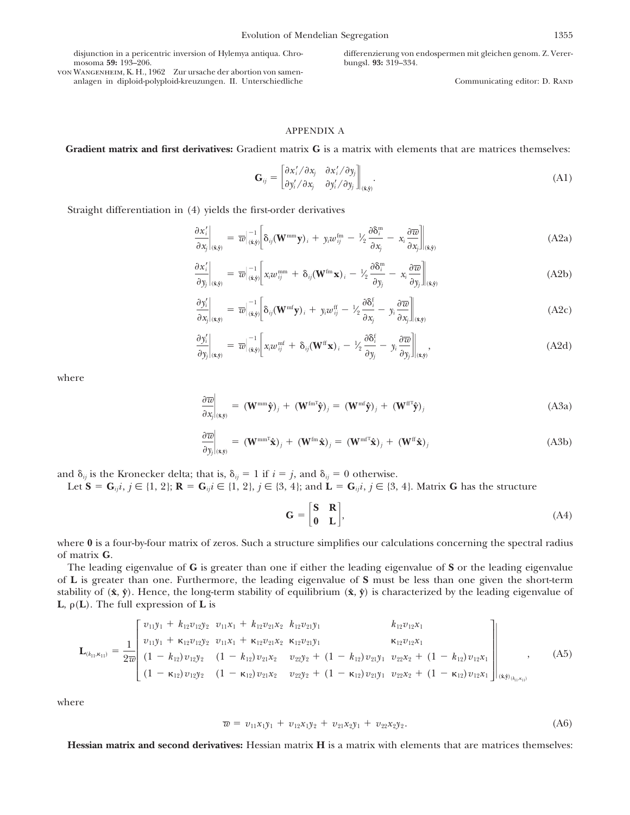von Wangenheim, K. H., 1962 Zur ursache der abortion von samenanlagen in diploid-polyploid-kreuzungen. II. Unterschiedliche Communicating editor: D. RAND

disjunction in a pericentric inversion of Hylemya antiqua. Chro- differenzierung von endospermen mit gleichen genom. Z. Verermosoma **59:** 193–206. bungsl. **93:** 319–334.

# APPENDIX A

**Gradient matrix and first derivatives:** Gradient matrix **G** is a matrix with elements that are matrices themselves:

$$
\mathbf{G}_{ij} = \begin{bmatrix} \partial x'_i / \partial x_j & \partial x'_i / \partial y_j \\ \partial y'_i / \partial x_j & \partial y'_i / \partial y_j \end{bmatrix}|_{(\hat{\mathbf{x}}, \hat{\mathbf{y}})}.
$$
(A1)

Straight differentiation in (4) yields the first-order derivatives

$$
\frac{\partial x_i'}{\partial x_j}\bigg|_{(\hat{\mathbf{x}},\hat{\mathbf{y}})} = \overline{w}\Big|_{(\hat{\mathbf{x}},\hat{\mathbf{y}})}^{-1}\Big|\delta_{ij}(\mathbf{W}^{\text{mm}}\mathbf{y})_i + y_i w_{ij}^{\text{fm}} - V_2 \frac{\partial \delta_i^{\text{m}}}{\partial x_j} - x_i \frac{\partial \overline{w}}{\partial x_j}\Big|_{(\hat{\mathbf{x}},\hat{\mathbf{y}})}\tag{A2a}
$$

$$
\frac{\partial x_i'}{\partial y_j}\bigg|_{(\mathbf{x},\mathbf{y})} = \overline{w}\Big|_{(\mathbf{\hat{x}},\mathbf{\hat{y}})}^{-1}\bigg[x_i w_{ij}^{\text{mm}} + \delta_{ij} (\mathbf{W}^{\text{fm}} \mathbf{x})_i - \frac{1}{2} \frac{\partial \delta_i^{\text{m}}}{\partial y_j} - x_i \frac{\partial \overline{w}}{\partial y_j}\bigg]\bigg|_{(\mathbf{\hat{x}},\mathbf{\hat{y}})} \tag{A2b}
$$

$$
\frac{\partial y_i'}{\partial x_j}\bigg|_{(\mathbf{x},\mathbf{y})} = \overline{w}\Big|_{(\mathbf{\hat{x}},\mathbf{\hat{y}})}^{-1}\Big[\delta_{ij}(\mathbf{W}^{\mathrm{mf}}\mathbf{y})_i + y_i w_{ij}^{\mathrm{ff}} - \frac{1}{2} \frac{\partial \delta_i^{\mathrm{f}}}{\partial x_j} - y_i \frac{\partial \overline{w}}{\partial x_j}\Big]\Big|_{(\mathbf{\hat{x}},\mathbf{\hat{y}})}\tag{A2c}
$$

$$
\frac{\partial y_i'}{\partial y_j}\bigg|_{(\mathbf{x},\mathbf{y})} = \overline{w}\Big|_{(\mathbf{\hat{x}},\mathbf{\hat{y}})}^{-1}\Big[x_i w_{ij}^{\text{mf}} + \delta_{ij} (\mathbf{W}^{\text{ff}} \mathbf{x})_i - \frac{1}{2} \frac{\partial \delta_i^{\text{f}}}{\partial y_j} - y_i \frac{\partial \overline{w}}{\partial y_j}\Big]\Big|_{(\mathbf{x},\mathbf{y})},\tag{A2d}
$$

where

$$
\frac{\partial \overline{w}}{\partial x_j}\bigg|_{(\hat{\mathbf{x}}, \hat{\mathbf{y}})} = (\mathbf{W}^{\text{mm}} \hat{\mathbf{y}})_j + (\mathbf{W}^{\text{fm}} \hat{\mathbf{y}})_j = (\mathbf{W}^{\text{mf}} \hat{\mathbf{y}})_j + (\mathbf{W}^{\text{ff}} \hat{\mathbf{y}})_j
$$
(A3a)

$$
\frac{\partial \overline{w}}{\partial y_j}\bigg|_{(\hat{\mathbf{x}}, \hat{\mathbf{y}})} = (\mathbf{W}^{\text{mm}^{\text{T}}}\hat{\mathbf{x}})_j + (\mathbf{W}^{\text{fm}}\hat{\mathbf{x}})_j = (\mathbf{W}^{\text{mf}}\hat{\mathbf{x}})_j + (\mathbf{W}^{\text{ff}}\hat{\mathbf{x}})_j
$$
(A3b)

and  $\delta_{ij}$  is the Kronecker delta; that is,  $\delta_{ij} = 1$  if  $i = j$ , and  $\delta_{ij} = 0$  otherwise.

Let  $S = G_{ij}$ *i*,  $j \in \{1, 2\}$ ;  $R = G_{ij}$ *i*  $\in \{1, 2\}$ ,  $j \in \{3, 4\}$ ; and  $L = G_{ij}$ *i*,  $j \in \{3, 4\}$ . Matrix *G* has the structure

$$
\mathbf{G} = \begin{bmatrix} \mathbf{S} & \mathbf{R} \\ \mathbf{0} & \mathbf{L} \end{bmatrix},\tag{A4}
$$

where **0** is a four-by-four matrix of zeros. Such a structure simplifies our calculations concerning the spectral radius of matrix **G**.

The leading eigenvalue of **G** is greater than one if either the leading eigenvalue of **S** or the leading eigenvalue of **L** is greater than one. Furthermore, the leading eigenvalue of **S** must be less than one given the short-term stability of  $(\hat{x}, \hat{y})$ . Hence, the long-term stability of equilibrium  $(\hat{x}, \hat{y})$  is characterized by the leading eigenvalue of **L**,  $\rho(L)$ . The full expression of **L** is

$$
\mathbf{L}_{(k_{11},\kappa_{11})} = \frac{1}{2\overline{w}} \begin{bmatrix} v_{11}y_1 + k_{12}v_{12}y_2 & v_{11}x_1 + k_{12}v_{21}x_2 & k_{12}v_{21}y_1 & k_{12}v_{12}x_1 \\ v_{11}y_1 + \kappa_{12}v_{12}y_2 & v_{11}x_1 + \kappa_{12}v_{21}x_2 & \kappa_{12}v_{21}y_1 & \kappa_{12}v_{12}x_1 \\ (1 - k_{12})v_{12}y_2 & (1 - k_{12})v_{21}x_2 & v_{22}y_2 + (1 - k_{12})v_{21}y_1 & v_{22}x_2 + (1 - k_{12})v_{12}x_1 \\ (1 - \kappa_{12})v_{12}y_2 & (1 - \kappa_{12})v_{21}x_2 & v_{22}y_2 + (1 - \kappa_{12})v_{21}y_1 & v_{22}x_2 + (1 - \kappa_{12})v_{12}x_1 \end{bmatrix} \begin{bmatrix} v_{11}y_1 + v_{12}v_{12}y_2 & v_{11}x_1 + v_{12}v_{21}x_2 & k_{12}v_{21}y_1 & k_{12}v_{12}x_1 \\ v_{21}y_1 + v_{22}v_{21} & v_{22}y_2 + v_{12}v_{12} & v_{22}v_2 + (1 - k_{12})v_{12}x_1 \end{bmatrix} \begin{bmatrix} v_{11}y_1 + v_{12}v_{12}y_2 & v_{11}x_1 + v_{12}v_{21}x_2 & k_{12}v_{21}y_1 & k_{12}v_{12}x_1 \\ v_{21}y_1 + v_{22}v_{21}x_2 & v_{22}y_2 + (1 - k_{12})v_{21}y_1 & v_{22}x_2 + (1 - k_{12})v_{12}x_1 \end{bmatrix} \begin{bmatrix} v_{11}y_1 + v_{12}v_{12}y_2 & v_{11}x_1 + v_{12}v_{21}x_2 & k_{12}v_{21}y_1 & k_{1
$$

where

$$
\overline{w} = v_{11}x_1y_1 + v_{12}x_1y_2 + v_{21}x_2y_1 + v_{22}x_2y_2.
$$
 (A6)

**Hessian matrix and second derivatives:** Hessian matrix **H** is a matrix with elements that are matrices themselves: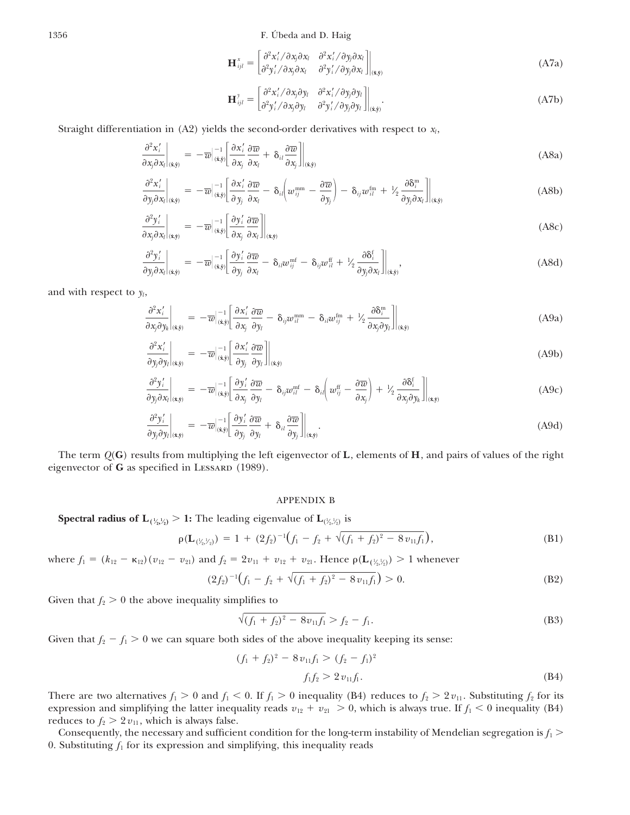1356 F. Úbeda and D. Haig

$$
\mathbf{H}_{ijl}^{x} = \begin{bmatrix} \partial^{2} x'_{i} / \partial x_{j} \partial x_{l} & \partial^{2} x'_{i} / \partial y_{j} \partial x_{l} \\ \partial^{2} y'_{i} / \partial x_{j} \partial x_{l} & \partial^{2} y'_{i} / \partial y_{j} \partial x_{l} \end{bmatrix} \Big|_{(\hat{\mathbf{x}}, \hat{\mathbf{y}})}
$$
(A7a)

$$
\mathbf{H}_{ijl}^{\gamma} = \begin{bmatrix} \frac{\partial^2 x'_i}{\partial x_j \partial y_l} & \frac{\partial^2 x'_i}{\partial y_j \partial y_l} \\ \frac{\partial^2 y'_i}{\partial x_j \partial y_l} & \frac{\partial^2 y'_i}{\partial y_j \partial y_l} \end{bmatrix}_{(\hat{\mathbf{x}}, \hat{\mathbf{y}})}.
$$
\n(A7b)

Straight differentiation in  $(A2)$  yields the second-order derivatives with respect to  $x_l$ ,

$$
\frac{\partial^2 x'_i}{\partial x_j \partial x_l}\bigg|_{(\hat{\mathbf{x}},\hat{\mathbf{y}})} = -\overline{w}\Big|_{(\hat{\mathbf{x}},\hat{\mathbf{y}})}^{-1} \Big[\frac{\partial x'_i}{\partial x_j} \frac{\partial \overline{w}}{\partial x_l} + \delta_{il} \frac{\partial \overline{w}}{\partial x_j}\Big]\Big|_{(\hat{\mathbf{x}},\hat{\mathbf{y}})} \tag{A8a}
$$

$$
\frac{\partial^2 x_i'}{\partial y_j \partial x_l}\bigg|_{(\hat{\mathbf{x}},\hat{\mathbf{y}})} = -\overline{w}\Big|_{(\hat{\mathbf{x}},\hat{\mathbf{y}})}^{-1} \left[ \frac{\partial x_i'}{\partial y_j} \frac{\partial \overline{w}}{\partial x_l} - \delta_{il} \left( w_{ij}^{\text{mm}} - \frac{\partial \overline{w}}{\partial y_j} \right) - \delta_{ij} w_{il}^{\text{fm}} + \frac{1}{2} \frac{\partial \delta_i^{\text{m}}}{\partial y_j \partial x_l} \right] \bigg|_{(\hat{\mathbf{x}},\hat{\mathbf{y}})} \tag{A8b}
$$

$$
\frac{\partial^2 y_i'}{\partial x_j \partial x_l}\bigg|_{(\hat{\mathbf{x}},\hat{\mathbf{y}})} = -\overline{w}\Big|_{(\hat{\mathbf{x}},\hat{\mathbf{y}})}^{-1} \left[\frac{\partial y_i'}{\partial x_j} \frac{\partial \overline{w}}{\partial x_l}\right]\bigg|_{(\hat{\mathbf{x}},\hat{\mathbf{y}})} \tag{A8c}
$$

$$
\frac{\partial^2 y_i'}{\partial y_j \partial x_l}\bigg|_{(\hat{\mathbf{x}},\hat{\mathbf{y}})} = -\overline{w}\bigg|_{(\hat{\mathbf{x}},\hat{\mathbf{y}})}^{-1} \bigg[\frac{\partial y_i'}{\partial y_j} \frac{\partial \overline{w}}{\partial x_l} - \delta_{ii} w_{ij}^{\text{mf}} - \delta_{ij} w_{il}^{\text{ff}} + \frac{1}{2} \frac{\partial \delta_i^{\text{f}}}{\partial y_j \partial x_l}\bigg] \bigg|_{(\hat{\mathbf{x}},\hat{\mathbf{y}})},\tag{A8d}
$$

and with respect to  $\gamma_l$ ,

$$
\frac{\partial^2 x_i'}{\partial x_j \partial y_k}\Big|_{(x,\hat{y})} = -\overline{w}\Big|_{(\hat{x},\hat{y})}^{-1} \Big| \frac{\partial x_i'}{\partial x_j} \frac{\partial \overline{w}}{\partial y_l} - \delta_{ij} w_{il}^{\text{mm}} - \delta_{il} w_{ij}^{\text{fm}} + \frac{1}{2} \frac{\partial \delta_i^{\text{m}}}{\partial x_j \partial y_l} \Big| \Big|_{(\hat{x},\hat{y})}
$$
(A9a)

$$
\left. \frac{\partial^2 x_i'}{\partial y_j \partial y_l} \right|_{(\mathbf{x}, \mathbf{y})} = -\overline{w} \Big|_{(\mathbf{\hat{x}}, \mathbf{\hat{y}})}^{-1} \left. \frac{\partial x_i'}{\partial y_j} \frac{\partial \overline{w}}{\partial y_l} \right\|_{(\mathbf{\hat{x}}, \mathbf{\hat{y}})} \tag{A9b}
$$

$$
\frac{\partial^2 y_i'}{\partial y_j \partial x_l}\bigg|_{(x,y)} = -\overline{w}\bigg|_{(x,y)}^{-1} \bigg[\frac{\partial y_i'}{\partial x_j} \frac{\partial \overline{w}}{\partial y_l} - \delta_{ij}w_{ii}^{\text{mf}} - \delta_{ii}\bigg(w_{ij}^{\text{ff}} - \frac{\partial \overline{w}}{\partial x_j}\bigg) + \frac{1}{2} \frac{\partial \delta_i^{\text{f}}}{\partial x_j \partial y_k}\bigg]\bigg|_{(x,y)} \tag{A9c}
$$

$$
\frac{\partial^2 y_i'}{\partial y_j \partial y_l}\bigg|_{(\hat{\mathbf{x}},\hat{\mathbf{y}})} = -\overline{w}\Big|_{(\hat{\mathbf{x}},\hat{\mathbf{y}})}^{-1} \left[\frac{\partial y_i'}{\partial y_j} \frac{\partial \overline{w}}{\partial y_l} + \delta_{il} \frac{\partial \overline{w}}{\partial y_j}\right]\Big|_{(\hat{\mathbf{x}},\hat{\mathbf{y}})}.
$$
\n(A9d)

The term *Q*(**G**) results from multiplying the left eigenvector of **L**, elements of **H**, and pairs of values of the right eigenvector of **G** as specified in LESSARD (1989).

## APPENDIX B

**Spectral radius of**  $\mathbf{L}_{(\frac{1}{2},\frac{1}{2})}>1$ **: The leading eigenvalue of**  $\mathbf{L}_{(\frac{1}{2},\frac{1}{2})}$  **is ⁄ ⁄ ∕** ⁄

$$
\rho(\mathbf{L}_{(\frac{1}{2},\frac{1}{2})}) = 1 + (2f_2)^{-1}(f_1 - f_2 + \sqrt{(f_1 + f_2)^2 - 8v_{11}f_1}),
$$
\n(B1)

where  $f_1 = (k_{12} - \kappa_{12})(v_{12} - v_{21})$  and  $f_2 = 2v_{11} + v_{12} + v_{21}$ . Hence  $\rho(L_{(\frac{1}{2}, \frac{1}{2})}) > 1$  whenever **∕ ∕** 

$$
(2f_2)^{-1}\left(f_1 - f_2 + \sqrt{(f_1 + f_2)^2 - 8v_{11}f_1}\right) > 0.
$$
 (B2)

Given that  $f_2 > 0$  the above inequality simplifies to

$$
\sqrt{(f_1 + f_2)^2 - 8v_{11}f_1} > f_2 - f_1.
$$
\n(B3)

Given that  $f_2 - f_1 > 0$  we can square both sides of the above inequality keeping its sense:

$$
(f_1 + f_2)^2 - 8v_{11}f_1 > (f_2 - f_1)^2
$$
  

$$
f_1f_2 > 2v_{11}f_1.
$$
 (B4)

There are two alternatives  $f_1 > 0$  and  $f_1 < 0$ . If  $f_1 > 0$  inequality (B4) reduces to  $f_2 > 2 v_{11}$ . Substituting  $f_2$  for its expression and simplifying the latter inequality reads  $v_{12} + v_{21} > 0$ , which is always true. If  $f_1 < 0$  inequality (B4) reduces to  $f_2 > 2 v_{11}$ , which is always false.

Consequently, the necessary and sufficient condition for the long-term instability of Mendelian segregation is  $f_1$  > 0. Substituting  $f_1$  for its expression and simplifying, this inequality reads